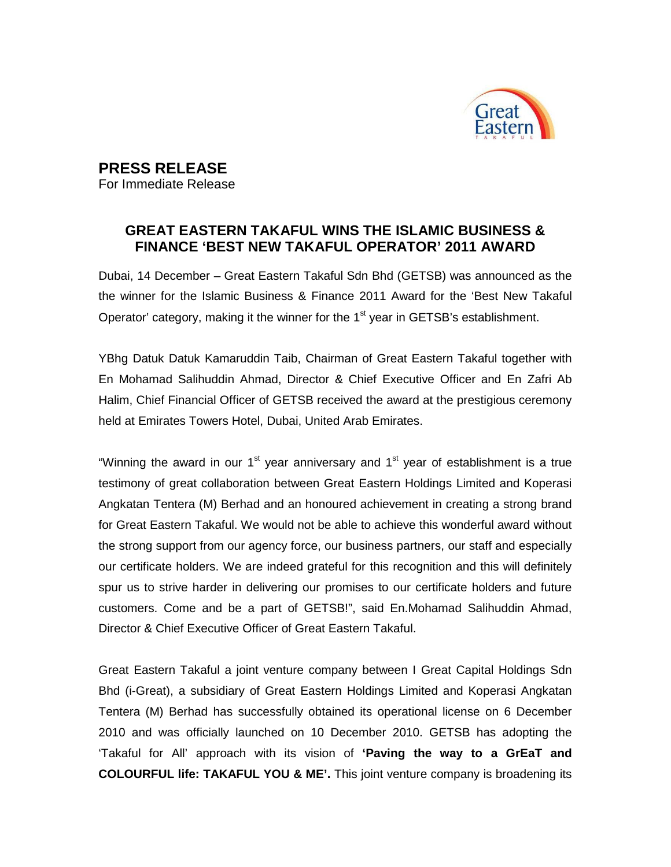

## **PRESS RELEASE**

For Immediate Release

## **GREAT EASTERN TAKAFUL WINS THE ISLAMIC BUSINESS & FINANCE 'BEST NEW TAKAFUL OPERATOR' 2011 AWARD**

Dubai, 14 December – Great Eastern Takaful Sdn Bhd (GETSB) was announced as the the winner for the Islamic Business & Finance 2011 Award for the 'Best New Takaful Operator' category, making it the winner for the  $1<sup>st</sup>$  year in GETSB's establishment.

YBhg Datuk Datuk Kamaruddin Taib, Chairman of Great Eastern Takaful together with En Mohamad Salihuddin Ahmad, Director & Chief Executive Officer and En Zafri Ab Halim, Chief Financial Officer of GETSB received the award at the prestigious ceremony held at Emirates Towers Hotel, Dubai, United Arab Emirates.

"Winning the award in our  $1<sup>st</sup>$  year anniversary and  $1<sup>st</sup>$  year of establishment is a true testimony of great collaboration between Great Eastern Holdings Limited and Koperasi Angkatan Tentera (M) Berhad and an honoured achievement in creating a strong brand for Great Eastern Takaful. We would not be able to achieve this wonderful award without the strong support from our agency force, our business partners, our staff and especially our certificate holders. We are indeed grateful for this recognition and this will definitely spur us to strive harder in delivering our promises to our certificate holders and future customers. Come and be a part of GETSB!", said En.Mohamad Salihuddin Ahmad, Director & Chief Executive Officer of Great Eastern Takaful.

Great Eastern Takaful a joint venture company between I Great Capital Holdings Sdn Bhd (i-Great), a subsidiary of Great Eastern Holdings Limited and Koperasi Angkatan Tentera (M) Berhad has successfully obtained its operational license on 6 December 2010 and was officially launched on 10 December 2010. GETSB has adopting the 'Takaful for All' approach with its vision of **'Paving the way to a GrEaT and COLOURFUL life: TAKAFUL YOU & ME'.** This joint venture company is broadening its